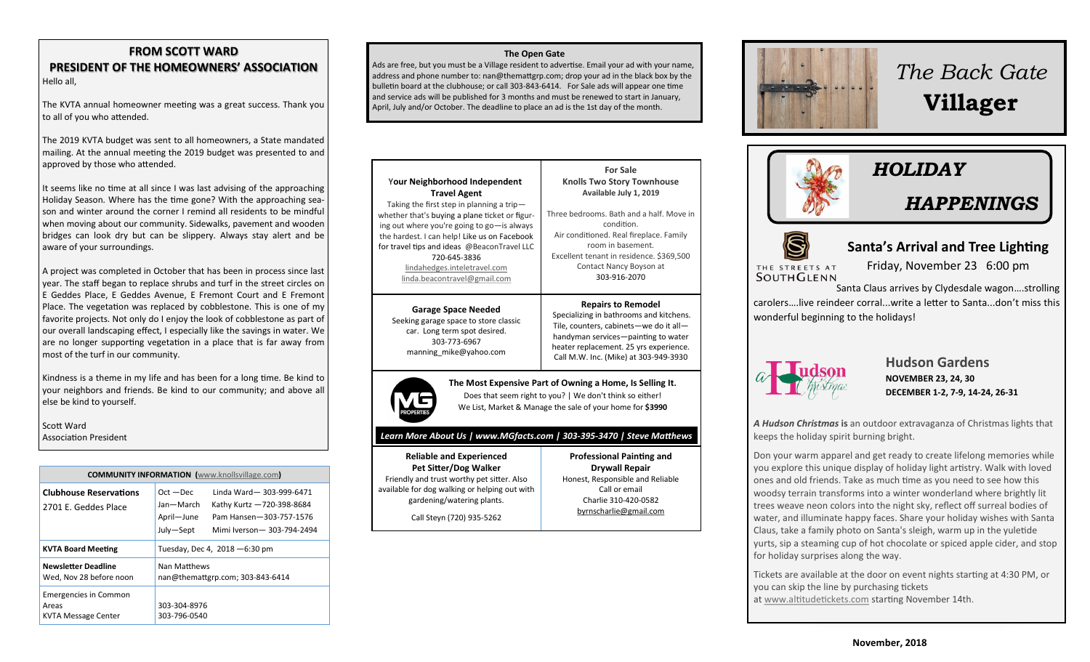#### **FROM SCOTT WARD PRESIDENT OF THE HOMEOWNERS' ASSOCIATION** Hello all,

The KVTA annual homeowner meeting was a great success. Thank you to all of you who attended.

The 2019 KVTA budget was sent to all homeowners, a State mandated mailing. At the annual meeting the 2019 budget was presented to and approved by those who attended.

It seems like no time at all since I was last advising of the approaching Holiday Season. Where has the time gone? With the approaching sea son and winter around the corner I remind all residents to be mindful when moving about our community. Sidewalks, pavement and wooden bridges can look dry but can be slippery. Always stay alert and be aware of your surroundings.

A project was completed in October that has been in process since last year. The staff began to replace shrubs and turf in the street circles on E Geddes Place, E Geddes Avenue, E Fremont Court and E Fremont Place. The vegetation was replaced by cobblestone. This is one of my favorite projects. Not only do I enjoy the look of cobblestone as part of our overall landscaping effect, I especially like the savings in water. We are no longer supporting vegetation in a place that is far away from most of the turf in our community.

Kindness is a theme in my life and has been for a long time. Be kind to your neighbors and friends. Be kind to our community; and above all else be kind to yourself.

Scott Ward Association President

| <b>COMMUNITY INFORMATION</b> (www.knollsvillage.com)         |                                                                                                                                                                       |
|--------------------------------------------------------------|-----------------------------------------------------------------------------------------------------------------------------------------------------------------------|
| <b>Clubhouse Reservations</b><br>2701 F. Geddes Place        | Linda Ward-303-999-6471<br>$Oct - Dec$<br>Jan-March<br>Kathy Kurtz -720-398-8684<br>April-June<br>Pam Hansen-303-757-1576<br>July-Sept<br>Mimi Iverson - 303-794-2494 |
| <b>KVTA Board Meeting</b>                                    | Tuesday, Dec 4, $2018 - 6:30$ pm                                                                                                                                      |
| Newsletter Deadline<br>Wed, Nov 28 before noon               | Nan Matthews<br>nan@themattgrp.com; 303-843-6414                                                                                                                      |
| <b>Emergencies in Common</b><br>Areas<br>KVTA Message Center | 303-304-8976<br>303-796-0540                                                                                                                                          |

#### **The Open Gate**

Ads are free, but you must be a Village resident to advertise. Email your ad with your name, address and phone number to: nan@themattgrp.com; drop your ad in the black box by the bulletin board at the clubhouse; or call 303-843-6414. For Sale ads will appear one time and service ads will be published for 3 months and must be renewed to start in January, April, July and/or October. The deadline to place an ad is the 1st day of the month.



#### *Learn More About Us | www.MGfacts.com | 303-395-3470 | Steve Matthews*

**Reliable and Experienced Pet Sitter/Dog Walker** Friendly and trust worthy pet sitter. Also available for dog walking or helping out with gardening/watering plants.

**Professional Painting and Drywall Repair** Honest, Responsible and Reliable Call or email Charlie 310-420-0582

Call Steyn (720) 935-5262

[byrnscharlie@gmail.com](mailto:byrnscharlie@gmail.com)



# *The Back Gate*  **Villager**





## **Santa's Arrival and Tree Lighting**

THE STREETS AT<br>SOUTHGLENN

Friday, November 23 6:00 pm

**Join our Halloween Parade Bring a canned food item**  Santa Claus arrives by Clydesdale wagon….strolling **In your spookiest get up for the Food Bank of the**  carolers….live reindeer corral...write a letter to Santa...don't miss this **Rockies and receive a**  wonderful beginning to the holidays!



### **NOVEMBER 23, 24, 30** Balloon Artists **DECEMBER 1-2, 7-9, 14-24, 26-31 Hudson Gardens**

*A Hudson Christmas* **is** an outdoor extravaganza of Christmas lights that keeps the holiday spirit burning bright.

Don your warm apparel and get ready to create lifelong memories while you explore this unique display of holiday light artistry. Walk with loved ones and old friends. Take as much time as you need to see how this woodsy terrain transforms into a winter wonderland where brightly lit trees weave neon colors into the night sky, reflect off surreal bodies of water, and illuminate happy faces. Share your holiday wishes with Santa Claus, take a family photo on Santa's sleigh, warm up in the yuletide yurts, sip a steaming cup of hot chocolate or spiced apple cider, and stop for holiday surprises along the way.

Tickets are available at the door on event nights starting at 4:30 PM, or you can skip the line by purchasing tickets at [www.altitudetickets.com](https://www.altitudetickets.com/events/venue/hudson-gardens) starting November 14th.